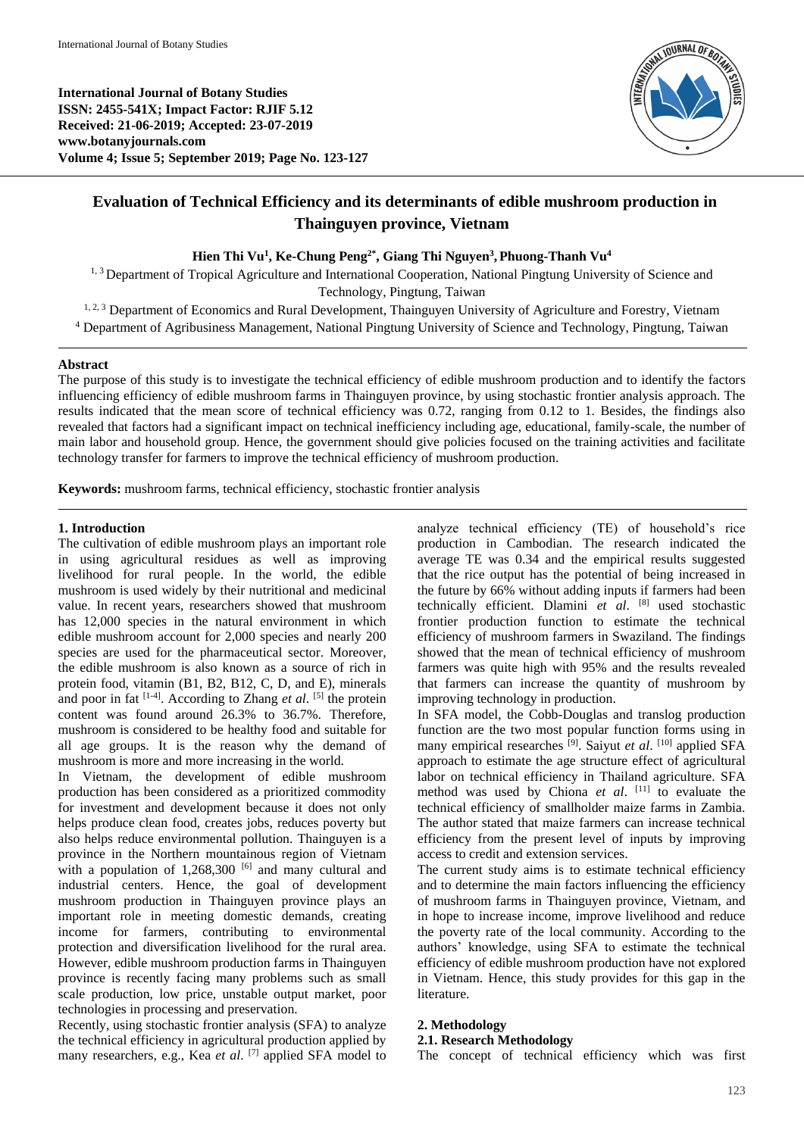**International Journal of Botany Studies ISSN: 2455-541X; Impact Factor: RJIF 5.12 Received: 21-06-2019; Accepted: 23-07-2019 www.botanyjournals.com Volume 4; Issue 5; September 2019; Page No. 123-127**



# **Evaluation of Technical Efficiency and its determinants of edible mushroom production in Thainguyen province, Vietnam**

### **Hien Thi Vu<sup>1</sup> , Ke-Chung Peng2\*, Giang Thi Nguyen<sup>3</sup> , Phuong-Thanh Vu<sup>4</sup>**

<sup>1, 3</sup> Department of Tropical Agriculture and International Cooperation, National Pingtung University of Science and

Technology, Pingtung, Taiwan

<sup>1, 2, 3</sup> Department of Economics and Rural Development, Thainguyen University of Agriculture and Forestry, Vietnam <sup>4</sup> Department of Agribusiness Management, National Pingtung University of Science and Technology, Pingtung, Taiwan

### **Abstract**

The purpose of this study is to investigate the technical efficiency of edible mushroom production and to identify the factors influencing efficiency of edible mushroom farms in Thainguyen province, by using stochastic frontier analysis approach. The results indicated that the mean score of technical efficiency was 0.72, ranging from 0.12 to 1. Besides, the findings also revealed that factors had a significant impact on technical inefficiency including age, educational, family-scale, the number of main labor and household group. Hence, the government should give policies focused on the training activities and facilitate technology transfer for farmers to improve the technical efficiency of mushroom production.

**Keywords:** mushroom farms, technical efficiency, stochastic frontier analysis

### **1. Introduction**

The cultivation of edible mushroom plays an important role in using agricultural residues as well as improving livelihood for rural people. In the world, the edible mushroom is used widely by their nutritional and medicinal value. In recent years, researchers showed that mushroom has 12,000 species in the natural environment in which edible mushroom account for 2,000 species and nearly 200 species are used for the pharmaceutical sector. Moreover, the edible mushroom is also known as a source of rich in protein food, vitamin (B1, B2, B12, C, D, and E), minerals and poor in fat  $[1-4]$ . According to Zhang *et al.* <sup>[5]</sup> the protein content was found around 26.3% to 36.7%. Therefore, mushroom is considered to be healthy food and suitable for all age groups. It is the reason why the demand of mushroom is more and more increasing in the world.

In Vietnam, the development of edible mushroom production has been considered as a prioritized commodity for investment and development because it does not only helps produce clean food, creates jobs, reduces poverty but also helps reduce environmental pollution. Thainguyen is a province in the Northern mountainous region of Vietnam with a population of  $1,268,300$  [6] and many cultural and industrial centers. Hence, the goal of development mushroom production in Thainguyen province plays an important role in meeting domestic demands, creating income for farmers, contributing to environmental protection and diversification livelihood for the rural area. However, edible mushroom production farms in Thainguyen province is recently facing many problems such as small scale production, low price, unstable output market, poor technologies in processing and preservation.

Recently, using stochastic frontier analysis (SFA) to analyze the technical efficiency in agricultural production applied by many researchers, e.g., Kea *et al*. [7] applied SFA model to

analyze technical efficiency (TE) of household's rice production in Cambodian. The research indicated the average TE was 0.34 and the empirical results suggested that the rice output has the potential of being increased in the future by 66% without adding inputs if farmers had been technically efficient. Dlamini *et al*. [8] used stochastic frontier production function to estimate the technical efficiency of mushroom farmers in Swaziland. The findings showed that the mean of technical efficiency of mushroom farmers was quite high with 95% and the results revealed that farmers can increase the quantity of mushroom by improving technology in production.

In SFA model, the Cobb-Douglas and translog production function are the two most popular function forms using in many empirical researches [9]. Saiyut *et al*. [10] applied SFA approach to estimate the age structure effect of agricultural labor on technical efficiency in Thailand agriculture. SFA method was used by Chiona *et al*. [11] to evaluate the technical efficiency of smallholder maize farms in Zambia. The author stated that maize farmers can increase technical efficiency from the present level of inputs by improving access to credit and extension services.

The current study aims is to estimate technical efficiency and to determine the main factors influencing the efficiency of mushroom farms in Thainguyen province, Vietnam, and in hope to increase income, improve livelihood and reduce the poverty rate of the local community. According to the authors' knowledge, using SFA to estimate the technical efficiency of edible mushroom production have not explored in Vietnam. Hence, this study provides for this gap in the literature.

### **2. Methodology**

## **2.1. Research Methodology**

The concept of technical efficiency which was first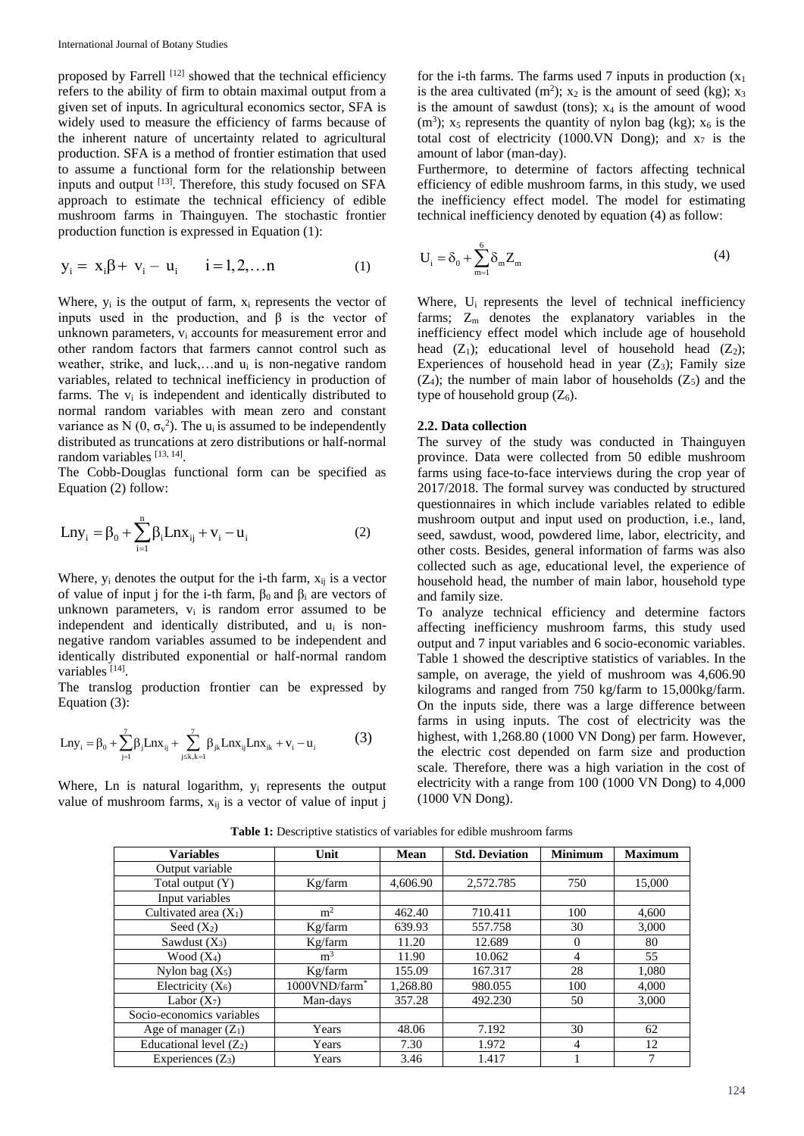proposed by Farrell [12] showed that the technical efficiency refers to the ability of firm to obtain maximal output from a given set of inputs. In agricultural economics sector, SFA is widely used to measure the efficiency of farms because of the inherent nature of uncertainty related to agricultural production. SFA is a method of frontier estimation that used to assume a functional form for the relationship between inputs and output [13]. Therefore, this study focused on SFA approach to estimate the technical efficiency of edible mushroom farms in Thainguyen. The stochastic frontier production function is expressed in Equation (1):

$$
y_i = x_i \beta + v_i - u_i \qquad i = 1, 2, \dots n \tag{1}
$$

Where,  $y_i$  is the output of farm,  $x_i$  represents the vector of inputs used in the production, and β is the vector of unknown parameters,  $v_i$  accounts for measurement error and other random factors that farmers cannot control such as weather, strike, and luck,…and u<sup>i</sup> is non-negative random variables, related to technical inefficiency in production of farms. The  $v_i$  is independent and identically distributed to normal random variables with mean zero and constant variance as N  $(0, \sigma_v^2)$ . The u<sub>i</sub> is assumed to be independently distributed as truncations at zero distributions or half-normal random variables [13, 14].

The Cobb-Douglas functional form can be specified as Equation (2) follow:

$$
Lny_{i} = \beta_{0} + \sum_{i=1}^{n} \beta_{i} Lnx_{ij} + v_{i} - u_{i}
$$
 (2)

Where,  $y_i$  denotes the output for the i-th farm,  $x_{ij}$  is a vector of value of input j for the i-th farm,  $\beta_0$  and  $\beta_i$  are vectors of unknown parameters,  $v_i$  is random error assumed to be independent and identically distributed, and u<sup>i</sup> is nonnegative random variables assumed to be independent and identically distributed exponential or half-normal random variables<sup>[14]</sup>.

The translog production frontier can be expressed by Equation (3):

$$
Lny_{i} = \beta_{0} + \sum_{j=1}^{7} \beta_{j}Lnx_{ij} + \sum_{j \leq k, k=1}^{7} \beta_{jk}Lnx_{ij}Lnx_{ik} + v_{i} - u_{i}
$$
(3)

Where, Ln is natural logarithm,  $y_i$  represents the output value of mushroom farms,  $x_{ij}$  is a vector of value of input j

for the i-th farms. The farms used 7 inputs in production  $(x_1)$ is the area cultivated (m<sup>2</sup>);  $x_2$  is the amount of seed (kg);  $x_3$ is the amount of sawdust (tons);  $x_4$  is the amount of wood (m<sup>3</sup>);  $x_5$  represents the quantity of nylon bag (kg);  $x_6$  is the total cost of electricity (1000. VN Dong); and  $x_7$  is the amount of labor (man-day).

Furthermore, to determine of factors affecting technical efficiency of edible mushroom farms, in this study, we used the inefficiency effect model. The model for estimating technical inefficiency denoted by equation (4) as follow:

$$
U_i = \delta_0 + \sum_{m=1}^{6} \delta_m Z_m \tag{4}
$$

Where, U<sub>i</sub> represents the level of technical inefficiency farms;  $Z_m$  denotes the explanatory variables in the inefficiency effect model which include age of household head  $(Z_1)$ ; educational level of household head  $(Z_2)$ ; Experiences of household head in year  $(Z_3)$ ; Family size  $(Z_4)$ ; the number of main labor of households  $(Z_5)$  and the type of household group  $(Z_6)$ .

#### **2.2. Data collection**

The survey of the study was conducted in Thainguyen province. Data were collected from 50 edible mushroom farms using face-to-face interviews during the crop year of 2017/2018. The formal survey was conducted by structured questionnaires in which include variables related to edible mushroom output and input used on production, i.e., land, seed, sawdust, wood, powdered lime, labor, electricity, and other costs. Besides, general information of farms was also collected such as age, educational level, the experience of household head, the number of main labor, household type and family size.

To analyze technical efficiency and determine factors affecting inefficiency mushroom farms, this study used output and 7 input variables and 6 socio-economic variables. Table 1 showed the descriptive statistics of variables. In the sample, on average, the yield of mushroom was 4,606.90 kilograms and ranged from 750 kg/farm to 15,000kg/farm. On the inputs side, there was a large difference between farms in using inputs. The cost of electricity was the highest, with 1,268.80 (1000 VN Dong) per farm. However, the electric cost depended on farm size and production scale. Therefore, there was a high variation in the cost of electricity with a range from 100 (1000 VN Dong) to 4,000 (1000 VN Dong).

| <b>Variables</b>          | Unit                      | Mean     | <b>Std. Deviation</b> | <b>Minimum</b> | <b>Maximum</b> |
|---------------------------|---------------------------|----------|-----------------------|----------------|----------------|
| Output variable           |                           |          |                       |                |                |
| Total output (Y)          | Kg/farm                   | 4,606.90 | 2,572.785             | 750            | 15,000         |
| Input variables           |                           |          |                       |                |                |
| Cultivated area $(X_1)$   | m <sup>2</sup>            | 462.40   | 710.411               | 100            | 4,600          |
| Seed $(X_2)$              | Kg/farm                   | 639.93   | 557.758               | 30             | 3,000          |
| Sawdust $(X_3)$           | Kg/farm                   | 11.20    | 12.689                | $\Omega$       | 80             |
| Wood $(X_4)$              | m <sup>3</sup>            | 11.90    | 10.062                | 4              | 55             |
| Nylon bag $(X_5)$         | Kg/farm                   | 155.09   | 167.317               | 28             | 1,080          |
| Electricity $(X_6)$       | 1000VND/farm <sup>*</sup> | 1,268.80 | 980.055               | 100            | 4,000          |
| Labor $(X_7)$             | Man-days                  | 357.28   | 492.230               | 50             | 3.000          |
| Socio-economics variables |                           |          |                       |                |                |
| Age of manager $(Z_1)$    | Years                     | 48.06    | 7.192                 | 30             | 62             |
| Educational level $(Z_2)$ | Years                     | 7.30     | 1.972                 | 4              | 12             |
| Experiences $(Z_3)$       | Years                     | 3.46     | 1.417                 |                | 7              |

Table 1: Descriptive statistics of variables for edible mushroom farms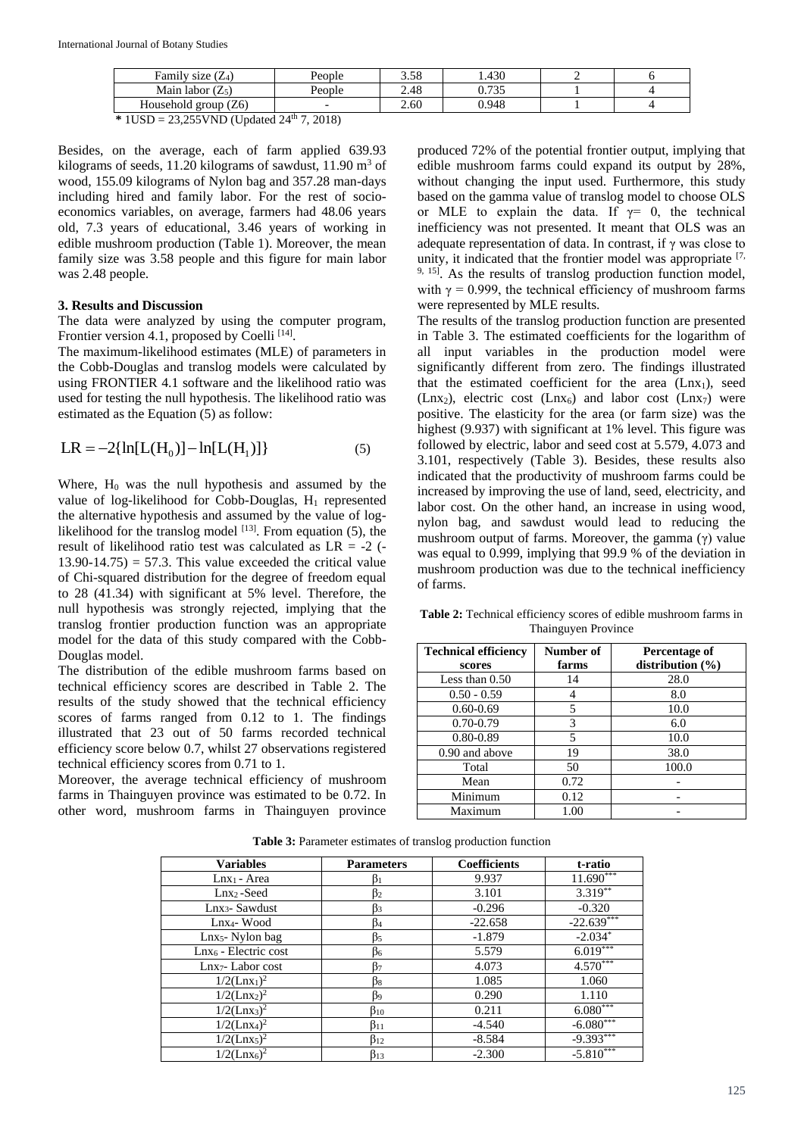| Family size $(Z_4)$                     | People | 3.58 | . 430       |  |
|-----------------------------------------|--------|------|-------------|--|
| Main labor $(Z_5)$                      | People | 2.48 | 0.725<br>◡. |  |
| $\frac{1}{2}$ eroup $(Z6)$<br>Household |        | 2.60 | 0.948       |  |

**\*** 1USD = 23,255VND (Updated 24th 7, 2018)

Besides, on the average, each of farm applied 639.93 kilograms of seeds, 11.20 kilograms of sawdust, 11.90  $m<sup>3</sup>$  of wood, 155.09 kilograms of Nylon bag and 357.28 man-days including hired and family labor. For the rest of socioeconomics variables, on average, farmers had 48.06 years old, 7.3 years of educational, 3.46 years of working in edible mushroom production (Table 1). Moreover, the mean family size was 3.58 people and this figure for main labor was 2.48 people.

### **3. Results and Discussion**

The data were analyzed by using the computer program, Frontier version 4.1, proposed by Coelli<sup>[14]</sup>.

The maximum-likelihood estimates (MLE) of parameters in the Cobb-Douglas and translog models were calculated by using FRONTIER 4.1 software and the likelihood ratio was used for testing the null hypothesis. The likelihood ratio was estimated as the Equation (5) as follow:

$$
LR = -2\{\ln[L(H_0)] - \ln[L(H_1)]\}
$$
 (5)

Where,  $H_0$  was the null hypothesis and assumed by the value of log-likelihood for Cobb-Douglas,  $H_1$  represented the alternative hypothesis and assumed by the value of loglikelihood for the translog model  $[13]$ . From equation (5), the result of likelihood ratio test was calculated as  $LR = -2$  (- $13.90-14.75$  = 57.3. This value exceeded the critical value of Chi-squared distribution for the degree of freedom equal to 28 (41.34) with significant at 5% level. Therefore, the null hypothesis was strongly rejected, implying that the translog frontier production function was an appropriate model for the data of this study compared with the Cobb-Douglas model.

The distribution of the edible mushroom farms based on technical efficiency scores are described in Table 2. The results of the study showed that the technical efficiency scores of farms ranged from 0.12 to 1. The findings illustrated that 23 out of 50 farms recorded technical efficiency score below 0.7, whilst 27 observations registered technical efficiency scores from 0.71 to 1.

Moreover, the average technical efficiency of mushroom farms in Thainguyen province was estimated to be 0.72. In other word, mushroom farms in Thainguyen province

produced 72% of the potential frontier output, implying that edible mushroom farms could expand its output by 28%, without changing the input used. Furthermore, this study based on the gamma value of translog model to choose OLS or MLE to explain the data. If  $\gamma = 0$ , the technical inefficiency was not presented. It meant that OLS was an adequate representation of data. In contrast, if  $\gamma$  was close to unity, it indicated that the frontier model was appropriate [7,  $9, 15$ ]. As the results of translog production function model, with  $\gamma = 0.999$ , the technical efficiency of mushroom farms were represented by MLE results.

The results of the translog production function are presented in Table 3. The estimated coefficients for the logarithm of all input variables in the production model were significantly different from zero. The findings illustrated that the estimated coefficient for the area  $(Lnx_1)$ , seed  $(Lnx_2)$ , electric cost  $(Lnx_6)$  and labor cost  $(Lnx_7)$  were positive. The elasticity for the area (or farm size) was the highest (9.937) with significant at 1% level. This figure was followed by electric, labor and seed cost at 5.579, 4.073 and 3.101, respectively (Table 3). Besides, these results also indicated that the productivity of mushroom farms could be increased by improving the use of land, seed, electricity, and labor cost. On the other hand, an increase in using wood, nylon bag, and sawdust would lead to reducing the mushroom output of farms. Moreover, the gamma (γ) value was equal to 0.999, implying that 99.9 % of the deviation in mushroom production was due to the technical inefficiency of farms.

**Table 2:** Technical efficiency scores of edible mushroom farms in Thainguyen Province

| <b>Technical efficiency</b> | Number of | Percentage of        |
|-----------------------------|-----------|----------------------|
| scores                      | farms     | distribution $(\% )$ |
| Less than $0.50$            | 14        | 28.0                 |
| $0.50 - 0.59$               |           | 8.0                  |
| $0.60 - 0.69$               | 5         | 10.0                 |
| $0.70 - 0.79$               | 3         | 6.0                  |
| $0.80 - 0.89$               | 5         | 10.0                 |
| 0.90 and above              | 19        | 38.0                 |
| Total                       | 50        | 100.0                |
| Mean                        | 0.72      |                      |
| Minimum                     | 0.12      |                      |
| Maximum                     | 1.00      |                      |

| <b>Variables</b>                       | <b>Parameters</b> | <b>Coefficients</b> | t-ratio      |
|----------------------------------------|-------------------|---------------------|--------------|
| $Lnx_1$ - Area                         | B١                | 9.937               | $11.690***$  |
| $Lnx_2$ -Seed                          | β2                | 3.101               | $3.319***$   |
| Lnx <sub>3</sub> - Sawdust             | ß3                | $-0.296$            | $-0.320$     |
| Lnx <sub>4</sub> -Wood                 | ß4                | $-22.658$           | $-22.639***$ |
| Lnx <sub>5</sub> - Nylon bag           | ß5                | $-1.879$            | $-2.034*$    |
| Lnx <sub>6</sub> - Electric cost       | B6                | 5.579               | $6.019***$   |
| Lnx <sub>7</sub> -Labor cost           | B7                | 4.073               | $4.570***$   |
| $1/2$ (Lnx <sub>1</sub> ) <sup>2</sup> | ßя                | 1.085               | 1.060        |
| $1/2$ (Lnx <sub>2</sub> ) <sup>2</sup> | β9                | 0.290               | 1.110        |
| $1/2$ (Lnx <sub>3</sub> ) <sup>2</sup> | $\beta_{10}$      | 0.211               | $6.080***$   |
| $1/2$ (Lnx <sub>4</sub> ) <sup>2</sup> | $\beta_{11}$      | $-4.540$            | $-6.080***$  |
| $1/2$ (Lnx <sub>5</sub> ) <sup>2</sup> | $\beta_{12}$      | $-8.584$            | $-9.393***$  |
| $1/2$ (Lnx <sub>6</sub> ) <sup>2</sup> | β13               | $-2.300$            | $-5.810***$  |

**Table 3:** Parameter estimates of translog production function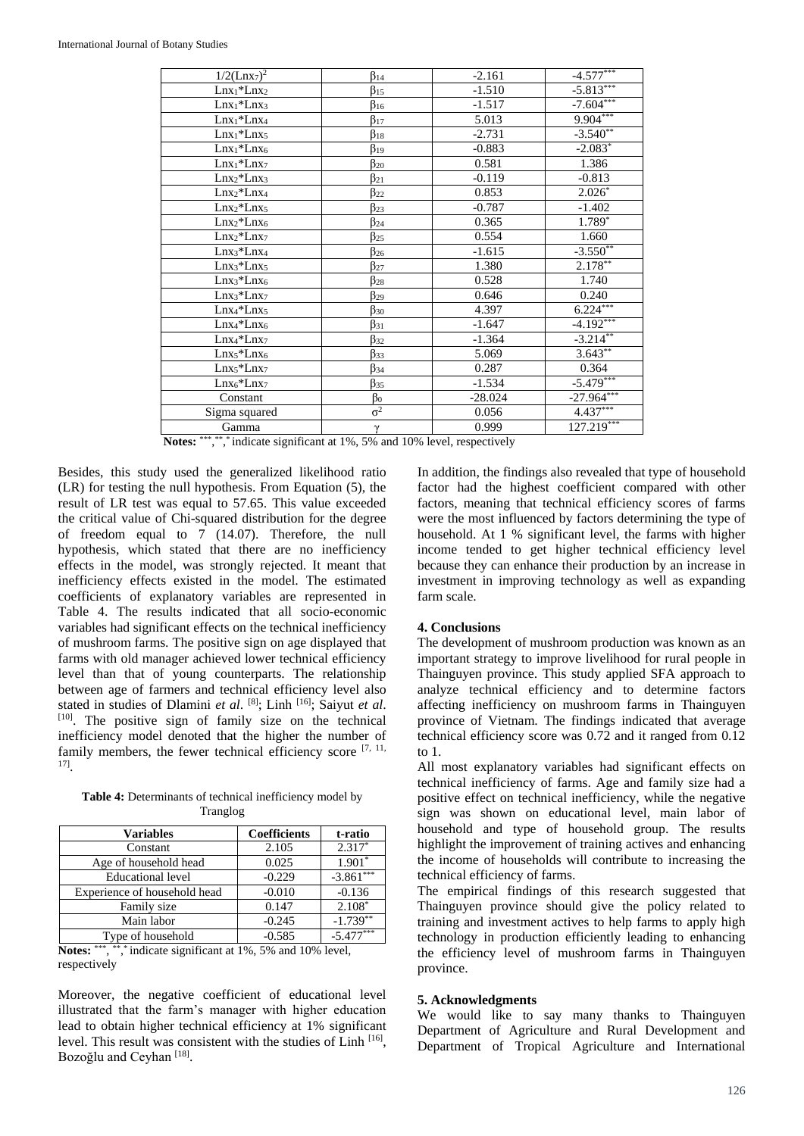| $1/2$ (Lnx <sub>7</sub> ) <sup>2</sup> | $\beta_{14}$ | $-2.161$  | $-4.577***$  |
|----------------------------------------|--------------|-----------|--------------|
| $Lnx_1*Lnx_2$                          | $\beta_{15}$ | $-1.510$  | $-5.813***$  |
| $Lnx_1*Lnx_3$                          | $\beta_{16}$ | $-1.517$  | $-7.604***$  |
| $Lnx_1*Lnx_4$                          | $\beta_{17}$ | 5.013     | $9.904***$   |
| $Lnx_1*Lnx_5$                          | $\beta_{18}$ | $-2.731$  | $-3.540**$   |
| $Lnx_1*Lnx_6$                          | $\beta_{19}$ | $-0.883$  | $-2.083*$    |
| $Lnx_1*Lnx_7$                          | $\beta_{20}$ | 0.581     | 1.386        |
| $Lnx_2*Lnx_3$                          | $\beta_{21}$ | $-0.119$  | $-0.813$     |
| $Lnx_2*Lnx_4$                          | $\beta_{22}$ | 0.853     | $2.026*$     |
| $Lnx_2*Lnx_5$                          | $\beta_{23}$ | $-0.787$  | $-1.402$     |
| $Lnx_2*Lnx_6$                          | $\beta_{24}$ | 0.365     | $1.789*$     |
| $Lnx_2*Lnx_7$                          | $\beta_{25}$ | 0.554     | 1.660        |
| $Lnx_3*Lnx_4$                          | $\beta_{26}$ | $-1.615$  | $-3.550**$   |
| $Lnx_3*Lnx_5$                          | $\beta_{27}$ | 1.380     | $2.178**$    |
| $Lnx_3*Lnx_6$                          | $\beta_{28}$ | 0.528     | 1.740        |
| $Lnx_3*Lnx_7$                          | $\beta_{29}$ | 0.646     | 0.240        |
| $Lnx_4*Lnx_5$                          | $\beta_{30}$ | 4.397     | $6.224***$   |
| $Lnx_4*Lnx_6$                          | $\beta_{31}$ | $-1.647$  | $-4.192***$  |
| $Lnx_4*Lnx_7$                          | $\beta_{32}$ | $-1.364$  | $-3.214***$  |
| $Lnx_5*Lnx_6$                          | $\beta_{33}$ | 5.069     | $3.643***$   |
| $Lnx_5*Lnx_7$                          | $\beta_{34}$ | 0.287     | 0.364        |
| $Lnx6*Lnx7$                            | $\beta_{35}$ | $-1.534$  | $-5.479***$  |
| Constant                               | $\beta_0$    | $-28.024$ | $-27.964***$ |
| Sigma squared                          | $\sigma^2$   | 0.056     | $4.437***$   |
| Gamma                                  | γ            | 0.999     | $127.219***$ |

Notes: \*\*\*,\*\*,\*\*,\* indicate significant at 1%, 5% and 10% level, respectively

Besides, this study used the generalized likelihood ratio (LR) for testing the null hypothesis. From Equation (5), the result of LR test was equal to 57.65. This value exceeded the critical value of Chi-squared distribution for the degree of freedom equal to 7 (14.07). Therefore, the null hypothesis, which stated that there are no inefficiency effects in the model, was strongly rejected. It meant that inefficiency effects existed in the model. The estimated coefficients of explanatory variables are represented in Table 4. The results indicated that all socio-economic variables had significant effects on the technical inefficiency of mushroom farms. The positive sign on age displayed that farms with old manager achieved lower technical efficiency level than that of young counterparts. The relationship between age of farmers and technical efficiency level also stated in studies of Dlamini *et al.* [8]; Linh <sup>[16]</sup>; Saiyut *et al.* [10]. The positive sign of family size on the technical inefficiency model denoted that the higher the number of family members, the fewer technical efficiency score  $[7, 11, 11]$ 17] .

Table 4: Determinants of technical inefficiency model by Tranglog

| <b>Variables</b>             | <b>Coefficients</b> | t-ratio     |
|------------------------------|---------------------|-------------|
| Constant                     | 2.105               | $2.317*$    |
| Age of household head        | 0.025               | $1.901*$    |
| <b>Educational level</b>     | $-0.229$            | $-3.861***$ |
| Experience of household head | $-0.010$            | $-0.136$    |
| Family size                  | 0.147               | $2.108*$    |
| Main labor                   | $-0.245$            | $-1.739**$  |
| Type of household            | $-0.585$            | $-5.477***$ |

Notes: \*\*\*, \*\*,\* indicate significant at 1%, 5% and 10% level, respectively

Moreover, the negative coefficient of educational level illustrated that the farm's manager with higher education lead to obtain higher technical efficiency at 1% significant level. This result was consistent with the studies of Linh [16], Bozoğlu and Ceyhan<sup>[18]</sup>.

In addition, the findings also revealed that type of household factor had the highest coefficient compared with other factors, meaning that technical efficiency scores of farms were the most influenced by factors determining the type of household. At 1 % significant level, the farms with higher income tended to get higher technical efficiency level because they can enhance their production by an increase in investment in improving technology as well as expanding farm scale.

### **4. Conclusions**

The development of mushroom production was known as an important strategy to improve livelihood for rural people in Thainguyen province. This study applied SFA approach to analyze technical efficiency and to determine factors affecting inefficiency on mushroom farms in Thainguyen province of Vietnam. The findings indicated that average technical efficiency score was 0.72 and it ranged from 0.12 to 1.

All most explanatory variables had significant effects on technical inefficiency of farms. Age and family size had a positive effect on technical inefficiency, while the negative sign was shown on educational level, main labor of household and type of household group. The results highlight the improvement of training actives and enhancing the income of households will contribute to increasing the technical efficiency of farms.

The empirical findings of this research suggested that Thainguyen province should give the policy related to training and investment actives to help farms to apply high technology in production efficiently leading to enhancing the efficiency level of mushroom farms in Thainguyen province.

#### **5. Acknowledgments**

We would like to say many thanks to Thainguyen Department of Agriculture and Rural Development and Department of Tropical Agriculture and International